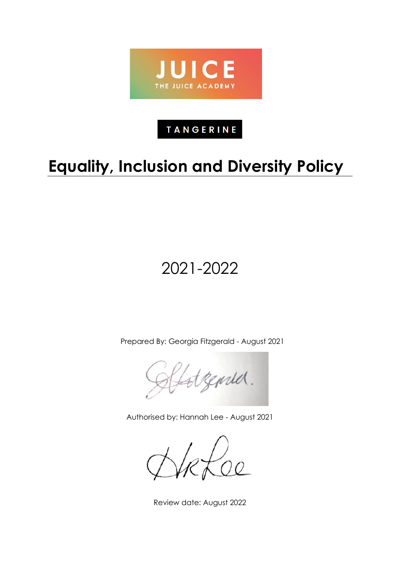

# **TANGERINE**

# **Equality, Inclusion and Diversity Policy**

# 2021-2022

Prepared By: Georgia Fitzgerald - August 2021

genred.

Authorised by: Hannah Lee - August 2021

Review date: August 2022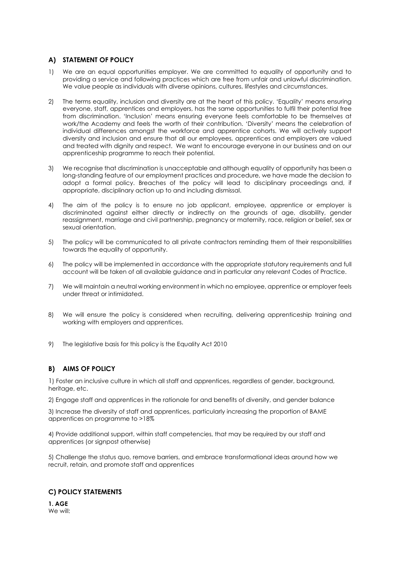# **A) STATEMENT OF POLICY**

- 1) We are an equal opportunities employer. We are committed to equality of opportunity and to providing a service and following practices which are free from unfair and unlawful discrimination. We value people as individuals with diverse opinions, cultures, lifestyles and circumstances.
- 2) The terms equality, inclusion and diversity are at the heart of this policy. 'Equality' means ensuring everyone, staff, apprentices and employers, has the same opportunities to fulfil their potential free from discrimination. 'Inclusion' means ensuring everyone feels comfortable to be themselves at work/the Academy and feels the worth of their contribution. 'Diversity' means the celebration of individual differences amongst the workforce and apprentice cohorts. We will actively support diversity and inclusion and ensure that all our employees, apprentices and employers are valued and treated with dignity and respect. We want to encourage everyone in our business and on our apprenticeship programme to reach their potential.
- 3) We recognise that discrimination is unacceptable and although equality of opportunity has been a long-standing feature of our employment practices and procedure, we have made the decision to adopt a formal policy. Breaches of the policy will lead to disciplinary proceedings and, if appropriate, disciplinary action up to and including dismissal.
- 4) The aim of the policy is to ensure no job applicant, employee, apprentice or employer is discriminated against either directly or indirectly on the grounds of age, disability, gender reassignment, marriage and civil partnership, pregnancy or maternity, race, religion or belief, sex or sexual orientation.
- 5) The policy will be communicated to all private contractors reminding them of their responsibilities towards the equality of opportunity.
- 6) The policy will be implemented in accordance with the appropriate statutory requirements and full account will be taken of all available guidance and in particular any relevant Codes of Practice.
- 7) We will maintain a neutral working environment in which no employee, apprentice or employer feels under threat or intimidated.
- 8) We will ensure the policy is considered when recruiting, delivering apprenticeship training and working with employers and apprentices.
- 9) The legislative basis for this policy is the Equality Act 2010

# **B) AIMS OF POLICY**

1) Foster an inclusive culture in which all staff and apprentices, regardless of gender, background, heritage, etc.

2) Engage staff and apprentices in the rationale for and benefits of diversity, and gender balance

3) Increase the diversity of staff and apprentices, particularly increasing the proportion of BAME apprentices on programme to >18%

4) Provide additional support, within staff competencies, that may be required by our staff and apprentices (or signpost otherwise)

5) Challenge the status quo, remove barriers, and embrace transformational ideas around how we recruit, retain, and promote staff and apprentices

# **C) POLICY STATEMENTS**

**1. AGE** We will: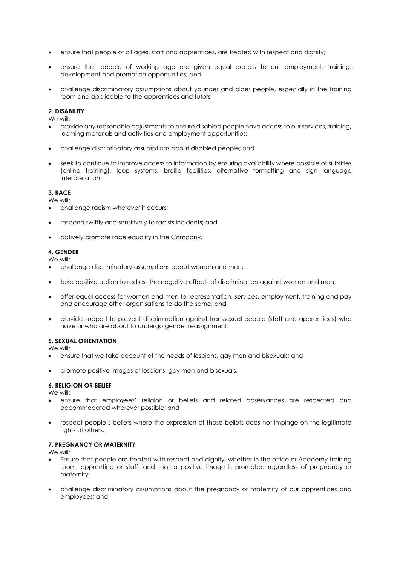- ensure that people of all ages, staff and apprentices, are treated with respect and dignity;
- ensure that people of working age are given equal access to our employment, training, development and promotion opportunities; and
- challenge discriminatory assumptions about younger and older people, especially in the training room and applicable to the apprentices and tutors

#### **2. DISABILITY**

We will:

- provide any reasonable adjustments to ensure disabled people have access to our services, training, learning materials and activities and employment opportunities;
- challenge discriminatory assumptions about disabled people; and
- seek to continue to improve access to information by ensuring availability where possible of subtitles (online training), loop systems, braille facilities, alternative formatting and sign language interpretation.

#### **3. RACE**

We will:

- challenge racism wherever it occurs;
- respond swiftly and sensitively to racists incidents; and
- actively promote race equality in the Company.

#### **4. GENDER**

We will:

- challenge discriminatory assumptions about women and men;
- take positive action to redress the negative effects of discrimination against women and men;
- offer equal access for women and men to representation, services, employment, training and pay and encourage other organisations to do the same; and
- provide support to prevent discrimination against transsexual people (staff and apprentices) who have or who are about to undergo gender reassignment.

#### **5. SEXUAL ORIENTATION**

We will:

- ensure that we take account of the needs of lesbians, gay men and bisexuals; and
- promote positive images of lesbians, gay men and bisexuals.

#### **6. RELIGION OR BELIEF**

We will:

- ensure that employees' religion or beliefs and related observances are respected and accommodated wherever possible; and
- respect people's beliefs where the expression of those beliefs does not impinge on the legitimate rights of others.

#### **7. PREGNANCY OR MATERNITY**

We will:

- Ensure that people are treated with respect and dignity, whether in the office or Academy training room, apprentice or staff, and that a positive image is promoted regardless of pregnancy or maternity;
- challenge discriminatory assumptions about the pregnancy or maternity of our apprentices and employees; and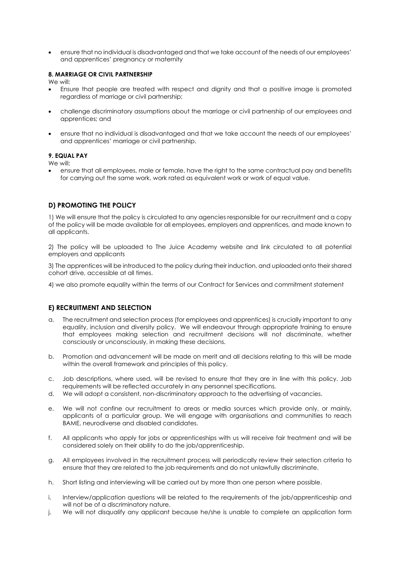• ensure that no individual is disadvantaged and that we take account of the needs of our employees' and apprentices' pregnancy or maternity

#### **8. MARRIAGE OR CIVIL PARTNERSHIP**

We will:

- Ensure that people are treated with respect and dignity and that a positive image is promoted regardless of marriage or civil partnership;
- challenge discriminatory assumptions about the marriage or civil partnership of our employees and apprentices; and
- ensure that no individual is disadvantaged and that we take account the needs of our employees' and apprentices' marriage or civil partnership.

#### **9. EQUAL PAY**

We will:

• ensure that all employees, male or female, have the right to the same contractual pay and benefits for carrying out the same work, work rated as equivalent work or work of equal value.

# **D) PROMOTING THE POLICY**

1) We will ensure that the policy is circulated to any agencies responsible for our recruitment and a copy of the policy will be made available for all employees, employers and apprentices, and made known to all applicants.

2) The policy will be uploaded to The Juice Academy website and link circulated to all potential employers and applicants

3) The apprentices will be introduced to the policy during their induction, and uploaded onto their shared cohort drive, accessible at all times.

4) we also promote equality within the terms of our Contract for Services and commitment statement

### **E) RECRUITMENT AND SELECTION**

- a. The recruitment and selection process (for employees and apprentices) is crucially important to any equality, inclusion and diversity policy. We will endeavour through appropriate training to ensure that employees making selection and recruitment decisions will not discriminate, whether consciously or unconsciously, in making these decisions.
- b. Promotion and advancement will be made on merit and all decisions relating to this will be made within the overall framework and principles of this policy.
- c. Job descriptions, where used, will be revised to ensure that they are in line with this policy. Job requirements will be reflected accurately in any personnel specifications.
- d. We will adopt a consistent, non-discriminatory approach to the advertising of vacancies.
- e. We will not confine our recruitment to areas or media sources which provide only, or mainly, applicants of a particular group. We will engage with organisations and communities to reach BAME, neurodiverse and disabled candidates.
- f. All applicants who apply for jobs or apprenticeships with us will receive fair treatment and will be considered solely on their ability to do the job/apprenticeship.
- g. All employees involved in the recruitment process will periodically review their selection criteria to ensure that they are related to the job requirements and do not unlawfully discriminate.
- h. Short listing and interviewing will be carried out by more than one person where possible.
- i. Interview/application questions will be related to the requirements of the job/apprenticeship and will not be of a discriminatory nature.
- j. We will not disqualify any applicant because he/she is unable to complete an application form